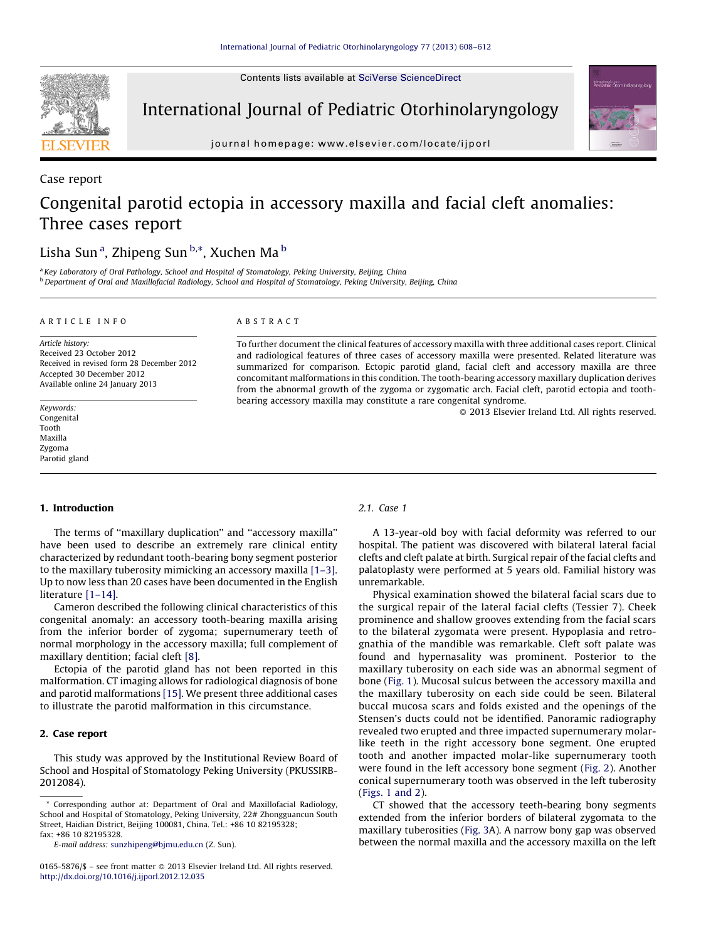Contents lists available at SciVerse [ScienceDirect](http://www.sciencedirect.com/science/journal/01655876)



Case report

International Journal of Pediatric Otorhinolaryngology

journal homepage: www.elsevier.com/locate/ijporl



# Congenital parotid ectopia in accessory maxilla and facial cleft anomalies: Three cases report

# Lisha Sun<sup>a</sup>, Zhipeng Sun<sup>b,\*</sup>, Xuchen Ma<sup>b</sup>

<sup>a</sup> Key Laboratory of Oral Pathology, School and Hospital of Stomatology, Peking University, Beijing, China

**b** Department of Oral and Maxillofacial Radiology, School and Hospital of Stomatology, Peking University, Beijing, China

#### A R T I C L E I N F O

Article history: Received 23 October 2012 Received in revised form 28 December 2012 Accepted 30 December 2012 Available online 24 January 2013

Keywords: Congenital Tooth Maxilla Zygoma Parotid gland

#### A B S T R A C T

To further document the clinical features of accessory maxilla with three additional cases report. Clinical and radiological features of three cases of accessory maxilla were presented. Related literature was summarized for comparison. Ectopic parotid gland, facial cleft and accessory maxilla are three concomitant malformations in this condition. The tooth-bearing accessory maxillary duplication derives from the abnormal growth of the zygoma or zygomatic arch. Facial cleft, parotid ectopia and toothbearing accessory maxilla may constitute a rare congenital syndrome.

- 2013 Elsevier Ireland Ltd. All rights reserved.

# 1. Introduction

The terms of ''maxillary duplication'' and ''accessory maxilla'' have been used to describe an extremely rare clinical entity characterized by redundant tooth-bearing bony segment posterior to the maxillary tuberosity mimicking an accessory maxilla [\[1–3\].](#page-4-0) Up to now less than 20 cases have been documented in the English literature [\[1–14\].](#page-4-0)

Cameron described the following clinical characteristics of this congenital anomaly: an accessory tooth-bearing maxilla arising from the inferior border of zygoma; supernumerary teeth of normal morphology in the accessory maxilla; full complement of maxillary dentition; facial cleft [\[8\].](#page-4-0)

Ectopia of the parotid gland has not been reported in this malformation. CT imaging allows for radiological diagnosis of bone and parotid malformations [\[15\]](#page-4-0). We present three additional cases to illustrate the parotid malformation in this circumstance.

## 2. Case report

This study was approved by the Institutional Review Board of School and Hospital of Stomatology Peking University (PKUSSIRB-2012084).

E-mail address: [sunzhipeng@bjmu.edu.cn](mailto:sunzhipeng@bjmu.edu.cn) (Z. Sun).

# 2.1. Case 1

A 13-year-old boy with facial deformity was referred to our hospital. The patient was discovered with bilateral lateral facial clefts and cleft palate at birth. Surgical repair of the facial clefts and palatoplasty were performed at 5 years old. Familial history was unremarkable.

Physical examination showed the bilateral facial scars due to the surgical repair of the lateral facial clefts (Tessier 7). Cheek prominence and shallow grooves extending from the facial scars to the bilateral zygomata were present. Hypoplasia and retrognathia of the mandible was remarkable. Cleft soft palate was found and hypernasality was prominent. Posterior to the maxillary tuberosity on each side was an abnormal segment of bone [\(Fig.](#page-1-0) 1). Mucosal sulcus between the accessory maxilla and the maxillary tuberosity on each side could be seen. Bilateral buccal mucosa scars and folds existed and the openings of the Stensen's ducts could not be identified. Panoramic radiography revealed two erupted and three impacted supernumerary molarlike teeth in the right accessory bone segment. One erupted tooth and another impacted molar-like supernumerary tooth were found in the left accessory bone segment [\(Fig.](#page-1-0) 2). Another conical supernumerary tooth was observed in the left tuberosity ([Figs.](#page-1-0) 1 and 2).

CT showed that the accessory teeth-bearing bony segments extended from the inferior borders of bilateral zygomata to the maxillary tuberosities [\(Fig.](#page-1-0) 3A). A narrow bony gap was observed between the normal maxilla and the accessory maxilla on the left

<sup>\*</sup> Corresponding author at: Department of Oral and Maxillofacial Radiology, School and Hospital of Stomatology, Peking University, 22# Zhongguancun South Street, Haidian District, Beijing 100081, China. Tel.: +86 10 82195328; fax: +86 10 82195328.

 $0165-5876/\$  – see front matter  $\odot$  2013 Elsevier Ireland Ltd. All rights reserved. <http://dx.doi.org/10.1016/j.ijporl.2012.12.035>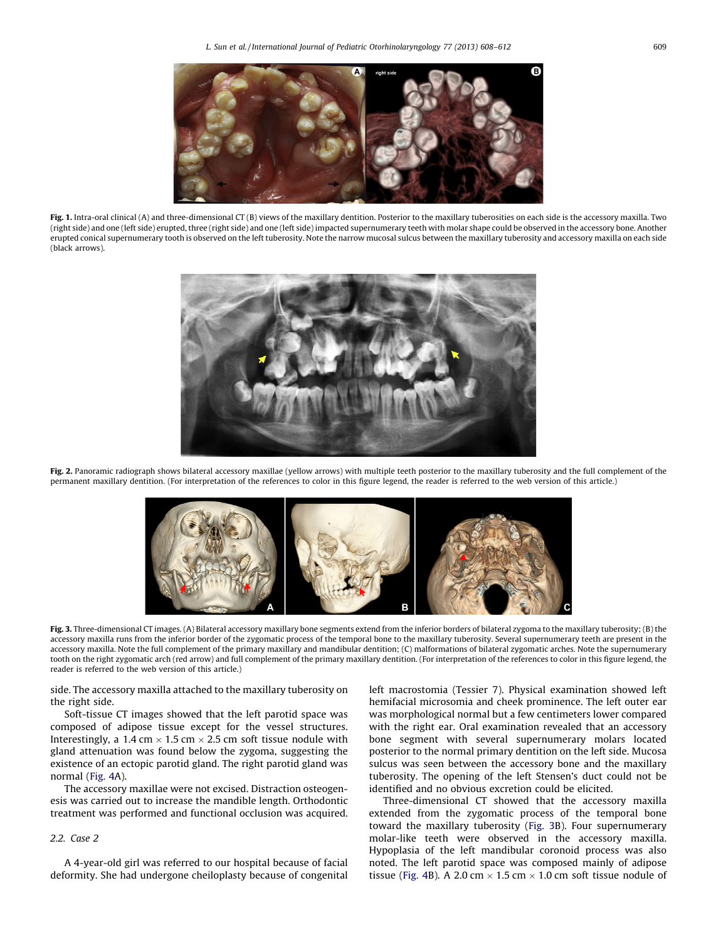<span id="page-1-0"></span>

Fig. 1. Intra-oral clinical (A) and three-dimensional CT (B) views of the maxillary dentition. Posterior to the maxillary tuberosities on each side is the accessory maxilla. Two (right side) and one (left side) erupted, three (right side) and one (left side) impacted supernumerary teeth with molar shape could be observed in the accessory bone. Another erupted conical supernumerary tooth is observed on the left tuberosity. Note the narrow mucosal sulcus between the maxillary tuberosity and accessory maxilla on each side (black arrows).



Fig. 2. Panoramic radiograph shows bilateral accessory maxillae (yellow arrows) with multiple teeth posterior to the maxillary tuberosity and the full complement of the permanent maxillary dentition. (For interpretation of the references to color in this figure legend, the reader is referred to the web version of this article.)



Fig. 3. Three-dimensional CT images. (A) Bilateral accessory maxillary bone segments extend from the inferior borders of bilateral zygoma to the maxillary tuberosity; (B) the accessory maxilla runs from the inferior border of the zygomatic process of the temporal bone to the maxillary tuberosity. Several supernumerary teeth are present in the accessory maxilla. Note the full complement of the primary maxillary and mandibular dentition; (C) malformations of bilateral zygomatic arches. Note the supernumerary tooth on the right zygomatic arch (red arrow) and full complement of the primary maxillary dentition. (For interpretation of the references to color in this figure legend, the reader is referred to the web version of this article.)

side. The accessory maxilla attached to the maxillary tuberosity on the right side.

Soft-tissue CT images showed that the left parotid space was composed of adipose tissue except for the vessel structures. Interestingly, a 1.4 cm  $\times$  1.5 cm  $\times$  2.5 cm soft tissue nodule with gland attenuation was found below the zygoma, suggesting the existence of an ectopic parotid gland. The right parotid gland was normal ([Fig.](#page-2-0) 4A).

The accessory maxillae were not excised. Distraction osteogenesis was carried out to increase the mandible length. Orthodontic treatment was performed and functional occlusion was acquired.

# 2.2. Case 2

A 4-year-old girl was referred to our hospital because of facial deformity. She had undergone cheiloplasty because of congenital left macrostomia (Tessier 7). Physical examination showed left hemifacial microsomia and cheek prominence. The left outer ear was morphological normal but a few centimeters lower compared with the right ear. Oral examination revealed that an accessory bone segment with several supernumerary molars located posterior to the normal primary dentition on the left side. Mucosa sulcus was seen between the accessory bone and the maxillary tuberosity. The opening of the left Stensen's duct could not be identified and no obvious excretion could be elicited.

Three-dimensional CT showed that the accessory maxilla extended from the zygomatic process of the temporal bone toward the maxillary tuberosity (Fig. 3B). Four supernumerary molar-like teeth were observed in the accessory maxilla. Hypoplasia of the left mandibular coronoid process was also noted. The left parotid space was composed mainly of adipose tissue [\(Fig.](#page-2-0) 4B). A 2.0 cm  $\times$  1.5 cm  $\times$  1.0 cm soft tissue nodule of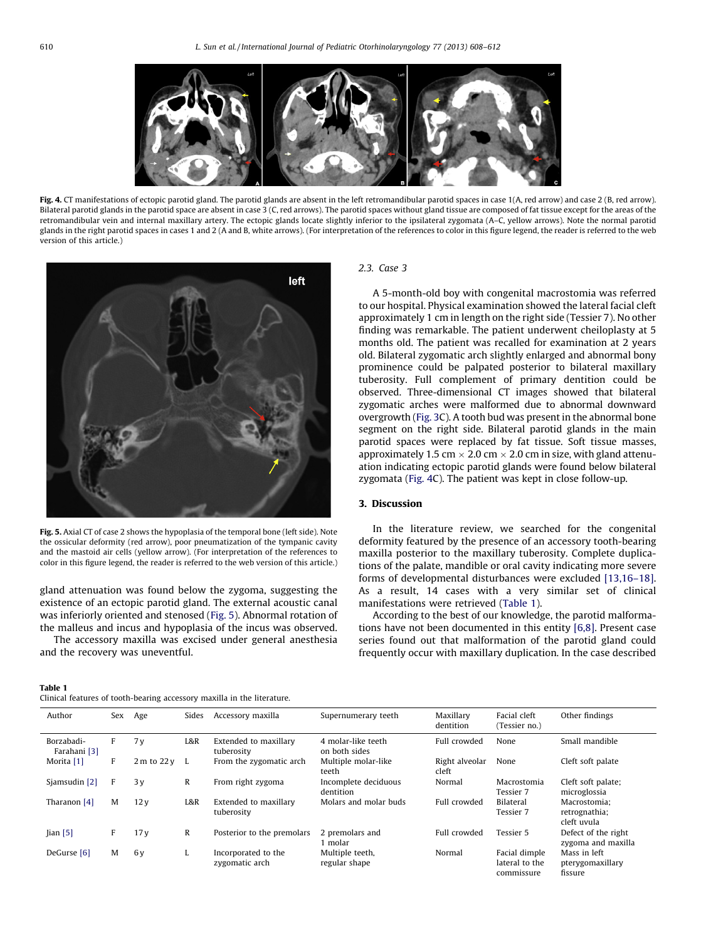<span id="page-2-0"></span>

Fig. 4. CT manifestations of ectopic parotid gland. The parotid glands are absent in the left retromandibular parotid spaces in case 1(A, red arrow) and case 2 (B, red arrow). Bilateral parotid glands in the parotid space are absent in case 3 (C, red arrows). The parotid spaces without gland tissue are composed of fat tissue except for the areas of the retromandibular vein and internal maxillary artery. The ectopic glands locate slightly inferior to the ipsilateral zygomata (A–C, yellow arrows). Note the normal parotid glands in the right parotid spaces in cases 1 and 2 (A and B, white arrows). (For interpretation of the references to color in this figure legend, the reader is referred to the web version of this article.)



Fig. 5. Axial CT of case 2 shows the hypoplasia of the temporal bone (left side). Note the ossicular deformity (red arrow), poor pneumatization of the tympanic cavity and the mastoid air cells (yellow arrow). (For interpretation of the references to color in this figure legend, the reader is referred to the web version of this article.)

gland attenuation was found below the zygoma, suggesting the existence of an ectopic parotid gland. The external acoustic canal was inferiorly oriented and stenosed (Fig. 5). Abnormal rotation of the malleus and incus and hypoplasia of the incus was observed.

The accessory maxilla was excised under general anesthesia and the recovery was uneventful.

#### 2.3. Case 3

A 5-month-old boy with congenital macrostomia was referred to our hospital. Physical examination showed the lateral facial cleft approximately 1 cm in length on the right side (Tessier 7). No other finding was remarkable. The patient underwent cheiloplasty at 5 months old. The patient was recalled for examination at 2 years old. Bilateral zygomatic arch slightly enlarged and abnormal bony prominence could be palpated posterior to bilateral maxillary tuberosity. Full complement of primary dentition could be observed. Three-dimensional CT images showed that bilateral zygomatic arches were malformed due to abnormal downward overgrowth [\(Fig.](#page-1-0) 3C). A tooth bud was present in the abnormal bone segment on the right side. Bilateral parotid glands in the main parotid spaces were replaced by fat tissue. Soft tissue masses, approximately 1.5 cm  $\times$  2.0 cm  $\times$  2.0 cm in size, with gland attenuation indicating ectopic parotid glands were found below bilateral zygomata (Fig. 4C). The patient was kept in close follow-up.

#### 3. Discussion

In the literature review, we searched for the congenital deformity featured by the presence of an accessory tooth-bearing maxilla posterior to the maxillary tuberosity. Complete duplications of the palate, mandible or oral cavity indicating more severe forms of developmental disturbances were excluded [\[13,16–18\].](#page-4-0) As a result, 14 cases with a very similar set of clinical manifestations were retrieved (Table 1).

According to the best of our knowledge, the parotid malformations have not been documented in this entity [\[6,8\].](#page-4-0) Present case series found out that malformation of the parotid gland could frequently occur with maxillary duplication. In the case described

#### Table 1

Clinical features of tooth-bearing accessory maxilla in the literature.

| Author                     | Sex | Age             | Sides        | Accessory maxilla                     | Supernumerary teeth                 | Maxillary<br>dentition  | Facial cleft<br>(Tessier no.)                 | Other findings                               |
|----------------------------|-----|-----------------|--------------|---------------------------------------|-------------------------------------|-------------------------|-----------------------------------------------|----------------------------------------------|
| Borzabadi-<br>Farahani [3] | F   | 7v              | L&R          | Extended to maxillary<br>tuberosity   | 4 molar-like teeth<br>on both sides | Full crowded            | None                                          | Small mandible                               |
| Morita [1]                 | F   | $2m$ to $22v$   | $\mathbf{L}$ | From the zygomatic arch               | Multiple molar-like<br>teeth        | Right alveolar<br>cleft | None                                          | Cleft soft palate                            |
| Sjamsudin [2]              | F   | 3y              | R            | From right zygoma                     | Incomplete deciduous<br>dentition   | Normal                  | Macrostomia<br>Tessier 7                      | Cleft soft palate;<br>microglossia           |
| Tharanon [4]               | M   | 12 <sub>V</sub> | L&R          | Extended to maxillary<br>tuberosity   | Molars and molar buds               | Full crowded            | Bilateral<br>Tessier 7                        | Macrostomia:<br>retrognathia;<br>cleft uvula |
| Jian $[5]$                 | F   | 17 <sub>V</sub> | R            | Posterior to the premolars            | 2 premolars and<br>molar            | Full crowded            | Tessier 5                                     | Defect of the right<br>zygoma and maxilla    |
| DeGurse [6]                | M   | 6 y             | L.           | Incorporated to the<br>zygomatic arch | Multiple teeth,<br>regular shape    | Normal                  | Facial dimple<br>lateral to the<br>commissure | Mass in left<br>pterygomaxillary<br>fissure  |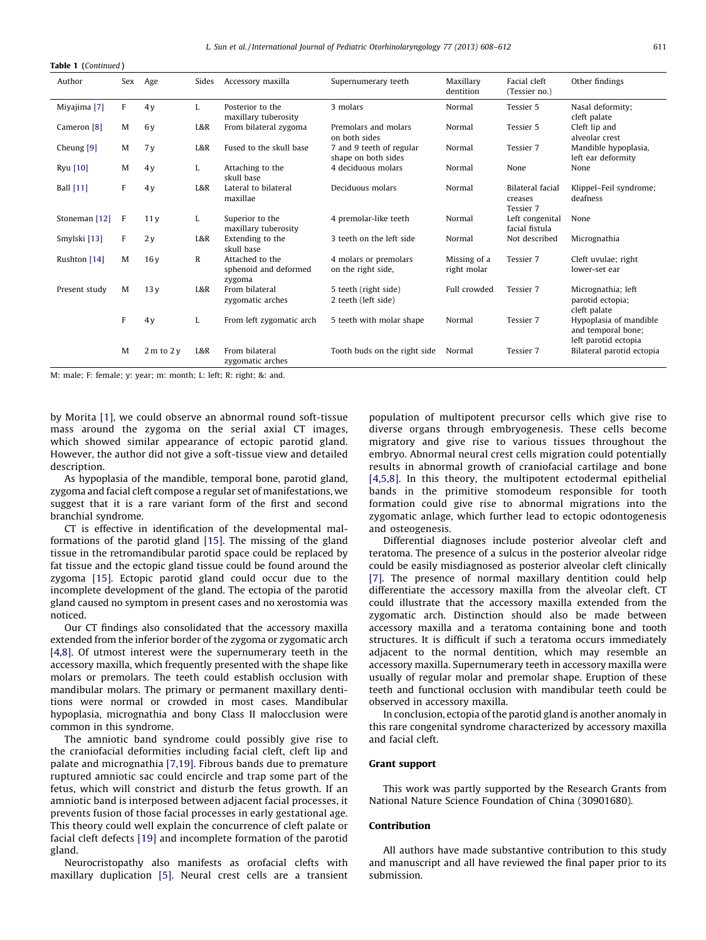| Author           | Sex | Age          | Sides | Accessory maxilla                                  | Supernumerary teeth                             | Maxillary<br>dentition      | Facial cleft<br>(Tessier no.)            | Other findings                                                       |
|------------------|-----|--------------|-------|----------------------------------------------------|-------------------------------------------------|-----------------------------|------------------------------------------|----------------------------------------------------------------------|
| Miyajima [7]     | F   | 4y           | L     | Posterior to the<br>maxillary tuberosity           | 3 molars                                        | Normal                      | Tessier 5                                | Nasal deformity;<br>cleft palate                                     |
| Cameron [8]      | M   | 6v           | L&R   | From bilateral zygoma                              | Premolars and molars<br>on both sides           | Normal                      | Tessier 5                                | Cleft lip and<br>alveolar crest                                      |
| Cheung $[9]$     | M   | 7y           | L&R   | Fused to the skull base                            | 7 and 9 teeth of regular<br>shape on both sides | Normal                      | Tessier 7                                | Mandible hypoplasia,<br>left ear deformity                           |
| Ryu [10]         | M   | 4y           | L     | Attaching to the<br>skull base                     | 4 deciduous molars                              | Normal                      | None                                     | None                                                                 |
| <b>Ball</b> [11] | F   | 4y           | L&R   | Lateral to bilateral<br>maxillae                   | Deciduous molars                                | Normal                      | Bilateral facial<br>creases<br>Tessier 7 | Klippel-Feil syndrome;<br>deafness                                   |
| Stoneman [12]    | F   | 11y          | L     | Superior to the<br>maxillary tuberosity            | 4 premolar-like teeth                           | Normal                      | Left congenital<br>facial fistula        | None                                                                 |
| Smylski [13]     | F   | 2y           | L&R   | Extending to the<br>skull base                     | 3 teeth on the left side                        | Normal                      | Not described                            | Micrognathia                                                         |
| Rushton [14]     | M   | 16v          | R     | Attached to the<br>sphenoid and deformed<br>zygoma | 4 molars or premolars<br>on the right side,     | Missing of a<br>right molar | Tessier 7                                | Cleft uvulae; right<br>lower-set ear                                 |
| Present study    | M   | 13v          | L&R   | From bilateral<br>zygomatic arches                 | 5 teeth (right side)<br>2 teeth (left side)     | Full crowded                | Tessier 7                                | Micrognathia; left<br>parotid ectopia;<br>cleft palate               |
|                  | F   | 4y           | L     | From left zygomatic arch                           | 5 teeth with molar shape                        | Normal                      | Tessier 7                                | Hypoplasia of mandible<br>and temporal bone;<br>left parotid ectopia |
|                  | M   | $2m$ to $2v$ | L&R   | From bilateral<br>zygomatic arches                 | Tooth buds on the right side                    | Normal                      | Tessier 7                                | Bilateral parotid ectopia                                            |

M: male; F: female; y: year; m: month; L: left; R: right; &: and.

Table 1 (Continued)

by Morita [\[1\],](#page-4-0) we could observe an abnormal round soft-tissue mass around the zygoma on the serial axial CT images, which showed similar appearance of ectopic parotid gland. However, the author did not give a soft-tissue view and detailed description.

As hypoplasia of the mandible, temporal bone, parotid gland, zygoma and facial cleft compose a regular set of manifestations, we suggest that it is a rare variant form of the first and second branchial syndrome.

CT is effective in identification of the developmental malformations of the parotid gland [\[15\].](#page-4-0) The missing of the gland tissue in the retromandibular parotid space could be replaced by fat tissue and the ectopic gland tissue could be found around the zygoma [\[15\].](#page-4-0) Ectopic parotid gland could occur due to the incomplete development of the gland. The ectopia of the parotid gland caused no symptom in present cases and no xerostomia was noticed.

Our CT findings also consolidated that the accessory maxilla extended from the inferior border of the zygoma or zygomatic arch [\[4,8\]](#page-4-0). Of utmost interest were the supernumerary teeth in the accessory maxilla, which frequently presented with the shape like molars or premolars. The teeth could establish occlusion with mandibular molars. The primary or permanent maxillary dentitions were normal or crowded in most cases. Mandibular hypoplasia, micrognathia and bony Class II malocclusion were common in this syndrome.

The amniotic band syndrome could possibly give rise to the craniofacial deformities including facial cleft, cleft lip and palate and micrognathia [\[7,19\]](#page-4-0). Fibrous bands due to premature ruptured amniotic sac could encircle and trap some part of the fetus, which will constrict and disturb the fetus growth. If an amniotic band is interposed between adjacent facial processes, it prevents fusion of those facial processes in early gestational age. This theory could well explain the concurrence of cleft palate or facial cleft defects [\[19\]](#page-4-0) and incomplete formation of the parotid gland.

Neurocristopathy also manifests as orofacial clefts with maxillary duplication [\[5\].](#page-4-0) Neural crest cells are a transient population of multipotent precursor cells which give rise to diverse organs through embryogenesis. These cells become migratory and give rise to various tissues throughout the embryo. Abnormal neural crest cells migration could potentially results in abnormal growth of craniofacial cartilage and bone [\[4,5,8\].](#page-4-0) In this theory, the multipotent ectodermal epithelial bands in the primitive stomodeum responsible for tooth formation could give rise to abnormal migrations into the zygomatic anlage, which further lead to ectopic odontogenesis and osteogenesis.

Differential diagnoses include posterior alveolar cleft and teratoma. The presence of a sulcus in the posterior alveolar ridge could be easily misdiagnosed as posterior alveolar cleft clinically [\[7\]](#page-4-0). The presence of normal maxillary dentition could help differentiate the accessory maxilla from the alveolar cleft. CT could illustrate that the accessory maxilla extended from the zygomatic arch. Distinction should also be made between accessory maxilla and a teratoma containing bone and tooth structures. It is difficult if such a teratoma occurs immediately adjacent to the normal dentition, which may resemble an accessory maxilla. Supernumerary teeth in accessory maxilla were usually of regular molar and premolar shape. Eruption of these teeth and functional occlusion with mandibular teeth could be observed in accessory maxilla.

In conclusion, ectopia of the parotid gland is another anomaly in this rare congenital syndrome characterized by accessory maxilla and facial cleft.

#### Grant support

This work was partly supported by the Research Grants from National Nature Science Foundation of China (30901680).

### Contribution

All authors have made substantive contribution to this study and manuscript and all have reviewed the final paper prior to its submission.